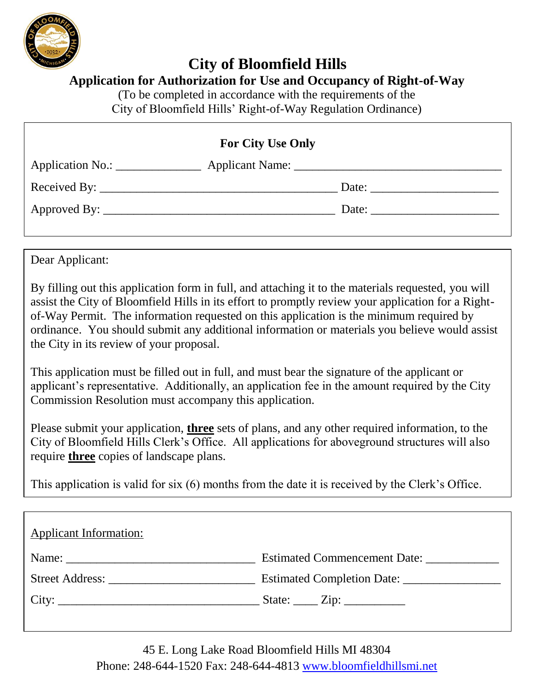

# **City of Bloomfield Hills**

#### **Application for Authorization for Use and Occupancy of Right-of-Way**

(To be completed in accordance with the requirements of the City of Bloomfield Hills' Right-of-Way Regulation Ordinance)

| <b>For City Use Only</b> |                              |                                                                                                                                                                                                                                                                                                                                                                                                                                                   |  |  |  |
|--------------------------|------------------------------|---------------------------------------------------------------------------------------------------------------------------------------------------------------------------------------------------------------------------------------------------------------------------------------------------------------------------------------------------------------------------------------------------------------------------------------------------|--|--|--|
| Application No.:         |                              |                                                                                                                                                                                                                                                                                                                                                                                                                                                   |  |  |  |
|                          | Received By: $\qquad \qquad$ | Date: $\frac{1}{\sqrt{1-\frac{1}{2}} \cdot \frac{1}{\sqrt{1-\frac{1}{2}} \cdot \frac{1}{\sqrt{1-\frac{1}{2}} \cdot \frac{1}{\sqrt{1-\frac{1}{2}} \cdot \frac{1}{\sqrt{1-\frac{1}{2}} \cdot \frac{1}{\sqrt{1-\frac{1}{2}} \cdot \frac{1}{\sqrt{1-\frac{1}{2}} \cdot \frac{1}{\sqrt{1-\frac{1}{2}} \cdot \frac{1}{\sqrt{1-\frac{1}{2}} \cdot \frac{1}{\sqrt{1-\frac{1}{2}} \cdot \frac{1}{\sqrt{1-\frac{1}{2}} \cdot \frac{1}{\sqrt{1-\frac{1}{2}}$ |  |  |  |
|                          |                              | Date: $\frac{1}{\sqrt{1-\frac{1}{2}} \cdot \frac{1}{2}}$                                                                                                                                                                                                                                                                                                                                                                                          |  |  |  |
|                          |                              |                                                                                                                                                                                                                                                                                                                                                                                                                                                   |  |  |  |

Dear Applicant:

By filling out this application form in full, and attaching it to the materials requested, you will assist the City of Bloomfield Hills in its effort to promptly review your application for a Rightof-Way Permit. The information requested on this application is the minimum required by ordinance. You should submit any additional information or materials you believe would assist the City in its review of your proposal.

This application must be filled out in full, and must bear the signature of the applicant or applicant's representative. Additionally, an application fee in the amount required by the City Commission Resolution must accompany this application.

Please submit your application, **three** sets of plans, and any other required information, to the City of Bloomfield Hills Clerk's Office. All applications for aboveground structures will also require **three** copies of landscape plans.

This application is valid for six (6) months from the date it is received by the Clerk's Office.

| <b>Applicant Information:</b>                                                                                                                                                                                                                                                                                                                                                                                                                     |                                            |
|---------------------------------------------------------------------------------------------------------------------------------------------------------------------------------------------------------------------------------------------------------------------------------------------------------------------------------------------------------------------------------------------------------------------------------------------------|--------------------------------------------|
| Name: $\frac{1}{\sqrt{1-\frac{1}{2}} \cdot \frac{1}{2} \cdot \frac{1}{2} \cdot \frac{1}{2} \cdot \frac{1}{2} \cdot \frac{1}{2} \cdot \frac{1}{2} \cdot \frac{1}{2} \cdot \frac{1}{2} \cdot \frac{1}{2} \cdot \frac{1}{2} \cdot \frac{1}{2} \cdot \frac{1}{2} \cdot \frac{1}{2} \cdot \frac{1}{2} \cdot \frac{1}{2} \cdot \frac{1}{2} \cdot \frac{1}{2} \cdot \frac{1}{2} \cdot \frac{1}{2} \cdot \frac{1}{2} \cdot \frac{1}{2} \cdot \frac{1}{2}$ | Estimated Commencement Date: _____________ |
|                                                                                                                                                                                                                                                                                                                                                                                                                                                   |                                            |
|                                                                                                                                                                                                                                                                                                                                                                                                                                                   |                                            |
|                                                                                                                                                                                                                                                                                                                                                                                                                                                   |                                            |

45 E. Long Lake Road Bloomfield Hills MI 48304 Phone: 248-644-1520 Fax: 248-644-4813 [www.bloomfieldhillsmi.net](http://www.bloomfieldhillsmi.net/)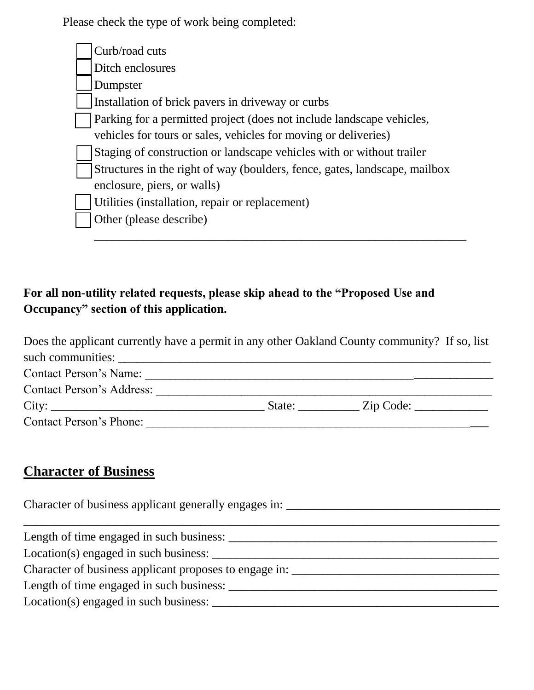Please check the type of work being completed:

| Curb/road cuts                                                             |
|----------------------------------------------------------------------------|
| Ditch enclosures                                                           |
| Dumpster                                                                   |
| Installation of brick pavers in driveway or curbs                          |
| Parking for a permitted project (does not include landscape vehicles,      |
| vehicles for tours or sales, vehicles for moving or deliveries)            |
| Staging of construction or landscape vehicles with or without trailer      |
| Structures in the right of way (boulders, fence, gates, landscape, mailbox |
| enclosure, piers, or walls)                                                |
| Utilities (installation, repair or replacement)                            |
| Other (please describe)                                                    |
|                                                                            |

#### **For all non-utility related requests, please skip ahead to the "Proposed Use and Occupancy" section of this application.**

| Does the applicant currently have a permit in any other Oakland County community? If so, list |                  |  |
|-----------------------------------------------------------------------------------------------|------------------|--|
| such communities:                                                                             |                  |  |
| <b>Contact Person's Name:</b>                                                                 |                  |  |
| <b>Contact Person's Address:</b>                                                              |                  |  |
|                                                                                               | State: Zip Code: |  |
| Contact Person's Phone:                                                                       |                  |  |

## **Character of Business**

| Character of business applicant generally engages in: |  |  |  |  |
|-------------------------------------------------------|--|--|--|--|
|                                                       |  |  |  |  |
| Length of time engaged in such business:              |  |  |  |  |
| Location(s) engaged in such business:                 |  |  |  |  |
|                                                       |  |  |  |  |
| Length of time engaged in such business:              |  |  |  |  |
| Location(s) engaged in such business:                 |  |  |  |  |
|                                                       |  |  |  |  |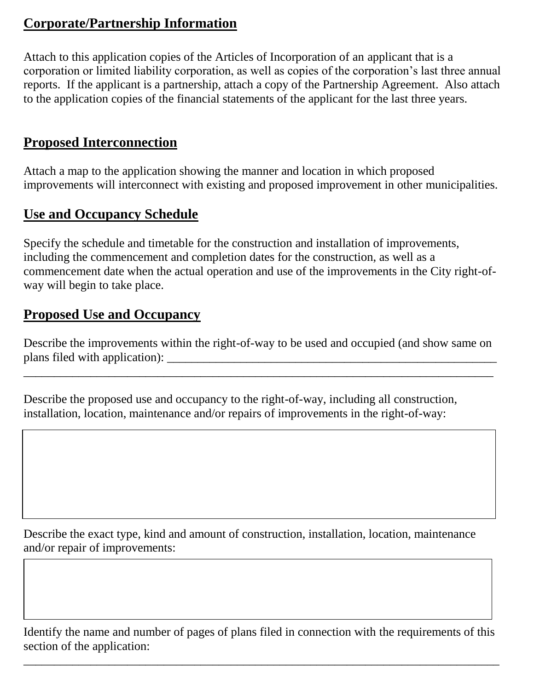#### **Corporate/Partnership Information**

Attach to this application copies of the Articles of Incorporation of an applicant that is a corporation or limited liability corporation, as well as copies of the corporation's last three annual reports. If the applicant is a partnership, attach a copy of the Partnership Agreement. Also attach to the application copies of the financial statements of the applicant for the last three years.

#### **Proposed Interconnection**

Attach a map to the application showing the manner and location in which proposed improvements will interconnect with existing and proposed improvement in other municipalities.

#### **Use and Occupancy Schedule**

Specify the schedule and timetable for the construction and installation of improvements, including the commencement and completion dates for the construction, as well as a commencement date when the actual operation and use of the improvements in the City right-ofway will begin to take place.

#### **Proposed Use and Occupancy**

Describe the improvements within the right-of-way to be used and occupied (and show same on plans filed with application):

\_\_\_\_\_\_\_\_\_\_\_\_\_\_\_\_\_\_\_\_\_\_\_\_\_\_\_\_\_\_\_\_\_\_\_\_\_\_\_\_\_\_\_\_\_\_\_\_\_\_\_\_\_\_\_\_\_\_\_\_\_\_\_\_\_\_\_\_\_\_\_\_\_\_\_\_\_

Describe the proposed use and occupancy to the right-of-way, including all construction, installation, location, maintenance and/or repairs of improvements in the right-of-way:

Describe the exact type, kind and amount of construction, installation, location, maintenance and/or repair of improvements:

Identify the name and number of pages of plans filed in connection with the requirements of this section of the application:

\_\_\_\_\_\_\_\_\_\_\_\_\_\_\_\_\_\_\_\_\_\_\_\_\_\_\_\_\_\_\_\_\_\_\_\_\_\_\_\_\_\_\_\_\_\_\_\_\_\_\_\_\_\_\_\_\_\_\_\_\_\_\_\_\_\_\_\_\_\_\_\_\_\_\_\_\_\_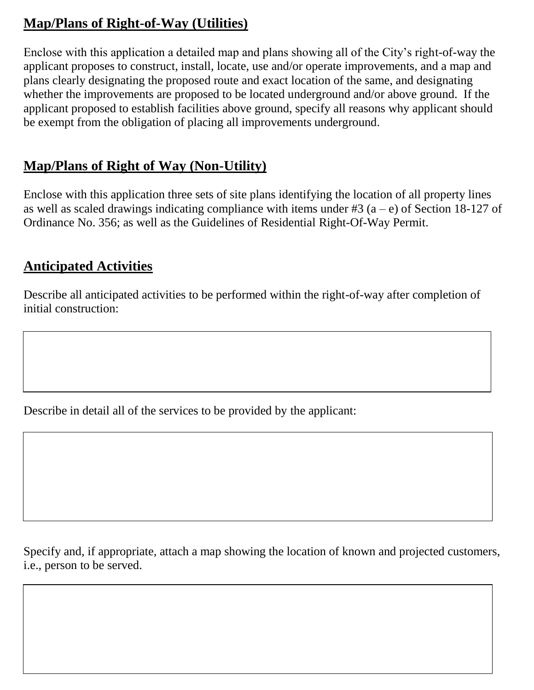### **Map/Plans of Right-of-Way (Utilities)**

Enclose with this application a detailed map and plans showing all of the City's right-of-way the applicant proposes to construct, install, locate, use and/or operate improvements, and a map and plans clearly designating the proposed route and exact location of the same, and designating whether the improvements are proposed to be located underground and/or above ground. If the applicant proposed to establish facilities above ground, specify all reasons why applicant should be exempt from the obligation of placing all improvements underground.

### **Map/Plans of Right of Way (Non-Utility)**

Enclose with this application three sets of site plans identifying the location of all property lines as well as scaled drawings indicating compliance with items under #3  $(a - e)$  of Section 18-127 of Ordinance No. 356; as well as the Guidelines of Residential Right-Of-Way Permit.

#### **Anticipated Activities**

Describe all anticipated activities to be performed within the right-of-way after completion of initial construction:

Describe in detail all of the services to be provided by the applicant:

Specify and, if appropriate, attach a map showing the location of known and projected customers, i.e., person to be served.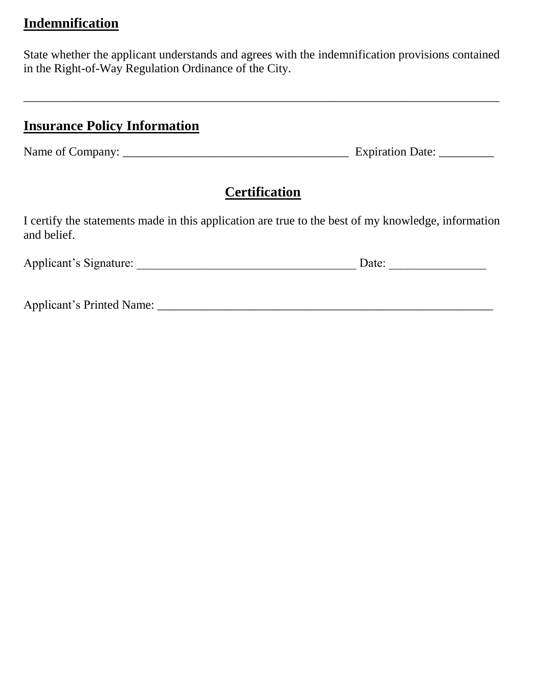#### **Indemnification**

State whether the applicant understands and agrees with the indemnification provisions contained in the Right-of-Way Regulation Ordinance of the City.

\_\_\_\_\_\_\_\_\_\_\_\_\_\_\_\_\_\_\_\_\_\_\_\_\_\_\_\_\_\_\_\_\_\_\_\_\_\_\_\_\_\_\_\_\_\_\_\_\_\_\_\_\_\_\_\_\_\_\_\_\_\_\_\_\_\_\_\_\_\_\_\_\_\_\_\_\_\_

#### **Insurance Policy Information**

Name of Company: \_\_\_\_\_\_\_\_\_\_\_\_\_\_\_\_\_\_\_\_\_\_\_\_\_\_\_\_\_\_\_\_\_\_\_\_\_ Expiration Date: \_\_\_\_\_\_\_\_\_

## **Certification**

I certify the statements made in this application are true to the best of my knowledge, information and belief.

| Applicant's Signature:<br>Jate: |  |
|---------------------------------|--|
|---------------------------------|--|

Applicant's Printed Name: \_\_\_\_\_\_\_\_\_\_\_\_\_\_\_\_\_\_\_\_\_\_\_\_\_\_\_\_\_\_\_\_\_\_\_\_\_\_\_\_\_\_\_\_\_\_\_\_\_\_\_\_\_\_\_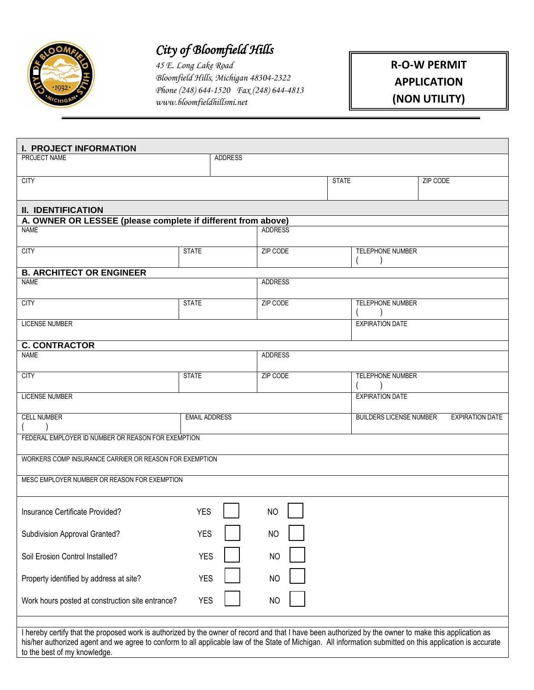

# *City of Bloomfield Hills*

*45 E. Long Lake Road Bloomfield Hills, Michigan 48304-2322 Phone (248) 644-1520 Fax (248) 644-4813 www.bloomfieldhillsmi.net*

#### **R-O-W PERMIT APPLICATION (NON UTILITY)**

| <b>I. PROJECT INFORMATION</b><br>PROJECT NAME                                                                                                              |                      | <b>ADDRESS</b> |                |              |                                |          |                        |
|------------------------------------------------------------------------------------------------------------------------------------------------------------|----------------------|----------------|----------------|--------------|--------------------------------|----------|------------------------|
|                                                                                                                                                            |                      |                |                |              |                                |          |                        |
| <b>CITY</b>                                                                                                                                                |                      |                |                | <b>STATE</b> |                                | ZIP CODE |                        |
|                                                                                                                                                            |                      |                |                |              |                                |          |                        |
|                                                                                                                                                            |                      |                |                |              |                                |          |                        |
| <b>II. IDENTIFICATION</b>                                                                                                                                  |                      |                |                |              |                                |          |                        |
| A. OWNER OR LESSEE (please complete if different from above)                                                                                               |                      |                |                |              |                                |          |                        |
| <b>NAME</b>                                                                                                                                                |                      |                | <b>ADDRESS</b> |              |                                |          |                        |
|                                                                                                                                                            |                      |                |                |              |                                |          |                        |
| <b>CITY</b>                                                                                                                                                | <b>STATE</b>         |                | ZIP CODE       |              | TELEPHONE NUMBER               |          |                        |
| <b>B. ARCHITECT OR ENGINEER</b>                                                                                                                            |                      |                |                |              |                                |          |                        |
| <b>NAME</b>                                                                                                                                                |                      |                | <b>ADDRESS</b> |              |                                |          |                        |
|                                                                                                                                                            |                      |                |                |              |                                |          |                        |
| <b>CITY</b>                                                                                                                                                | <b>STATE</b>         |                | ZIP CODE       |              | <b>TELEPHONE NUMBER</b>        |          |                        |
|                                                                                                                                                            |                      |                |                |              |                                |          |                        |
| <b>LICENSE NUMBER</b>                                                                                                                                      |                      |                |                |              | <b>EXPIRATION DATE</b>         |          |                        |
|                                                                                                                                                            |                      |                |                |              |                                |          |                        |
| <b>C. CONTRACTOR</b>                                                                                                                                       |                      |                |                |              |                                |          |                        |
| <b>NAME</b>                                                                                                                                                |                      |                | <b>ADDRESS</b> |              |                                |          |                        |
|                                                                                                                                                            |                      |                |                |              |                                |          |                        |
| <b>CITY</b>                                                                                                                                                | <b>STATE</b>         |                | ZIP CODE       |              | TELEPHONE NUMBER               |          |                        |
| <b>LICENSE NUMBER</b>                                                                                                                                      |                      |                |                |              | <b>EXPIRATION DATE</b>         |          |                        |
|                                                                                                                                                            |                      |                |                |              |                                |          |                        |
| <b>CELL NUMBER</b>                                                                                                                                         | <b>EMAIL ADDRESS</b> |                |                |              | <b>BUILDERS LICENSE NUMBER</b> |          | <b>EXPIRATION DATE</b> |
|                                                                                                                                                            |                      |                |                |              |                                |          |                        |
| FEDERAL EMPLOYER ID NUMBER OR REASON FOR EXEMPTION                                                                                                         |                      |                |                |              |                                |          |                        |
|                                                                                                                                                            |                      |                |                |              |                                |          |                        |
| WORKERS COMP INSURANCE CARRIER OR REASON FOR EXEMPTION                                                                                                     |                      |                |                |              |                                |          |                        |
|                                                                                                                                                            |                      |                |                |              |                                |          |                        |
| MESC EMPLOYER NUMBER OR REASON FOR EXEMPTION                                                                                                               |                      |                |                |              |                                |          |                        |
|                                                                                                                                                            |                      |                |                |              |                                |          |                        |
|                                                                                                                                                            |                      |                |                |              |                                |          |                        |
| Insurance Certificate Provided?                                                                                                                            | <b>YES</b>           |                | <b>NO</b>      |              |                                |          |                        |
|                                                                                                                                                            |                      |                |                |              |                                |          |                        |
| Subdivision Approval Granted?                                                                                                                              | <b>YES</b>           |                | N <sub>O</sub> |              |                                |          |                        |
|                                                                                                                                                            |                      |                |                |              |                                |          |                        |
| Soil Erosion Control Installed?                                                                                                                            | <b>YES</b>           |                | <b>NO</b>      |              |                                |          |                        |
|                                                                                                                                                            |                      |                |                |              |                                |          |                        |
| Property identified by address at site?                                                                                                                    | <b>YES</b>           |                | <b>NO</b>      |              |                                |          |                        |
|                                                                                                                                                            |                      |                |                |              |                                |          |                        |
| Work hours posted at construction site entrance?                                                                                                           | <b>YES</b>           |                | <b>NO</b>      |              |                                |          |                        |
|                                                                                                                                                            |                      |                |                |              |                                |          |                        |
| I hereby certify that the proposed work is authorized by the owner of record and that I have been authorized by the owner to make this application as      |                      |                |                |              |                                |          |                        |
| his/her authorized agent and we agree to conform to all applicable law of the State of Michigan. All information submitted on this application is accurate |                      |                |                |              |                                |          |                        |
| to the best of my knowledge.                                                                                                                               |                      |                |                |              |                                |          |                        |